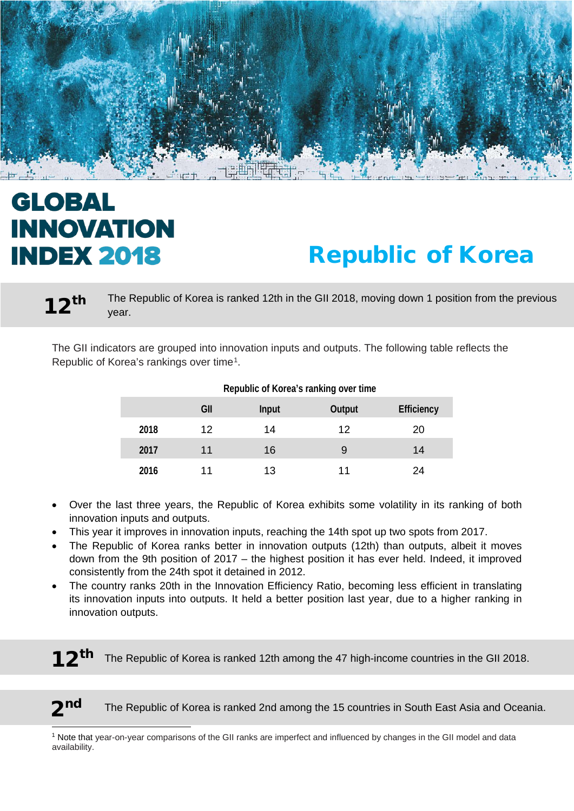

# **GLOBAL INNOVATION INDEX 2018**

l

# Republic of Korea

The Republic of Korea is ranked 12th in the GII 2018, moving down 1 position from the previous vear. 12th

The GII indicators are grouped into innovation inputs and outputs. The following table reflects the Republic of Korea's rankings over time[1.](#page-0-0)

|      | GII | <b>Input</b> | <b>Output</b> | <b>Efficiency</b> |
|------|-----|--------------|---------------|-------------------|
| 2018 | 12  | 14           | 12            | 20                |
| 2017 | 11  | 16           | 9             | 14                |
| 2016 | 11  | 13           | 11            | 24                |

#### **Republic of Korea's ranking over time**

- Over the last three years, the Republic of Korea exhibits some volatility in its ranking of both innovation inputs and outputs.
- This year it improves in innovation inputs, reaching the 14th spot up two spots from 2017.
- The Republic of Korea ranks better in innovation outputs (12th) than outputs, albeit it moves down from the 9th position of 2017 – the highest position it has ever held. Indeed, it improved consistently from the 24th spot it detained in 2012.
- The country ranks 20th in the Innovation Efficiency Ratio, becoming less efficient in translating its innovation inputs into outputs. It held a better position last year, due to a higher ranking in innovation outputs.

The Republic of Korea is ranked 12th among the 47 high-income countries in the GII 2018.

2nd The Republic of Korea is ranked 2nd among the 15 countries in South East Asia and Oceania.

<span id="page-0-0"></span><sup>1</sup> Note that year-on-year comparisons of the GII ranks are imperfect and influenced by changes in the GII model and data availability.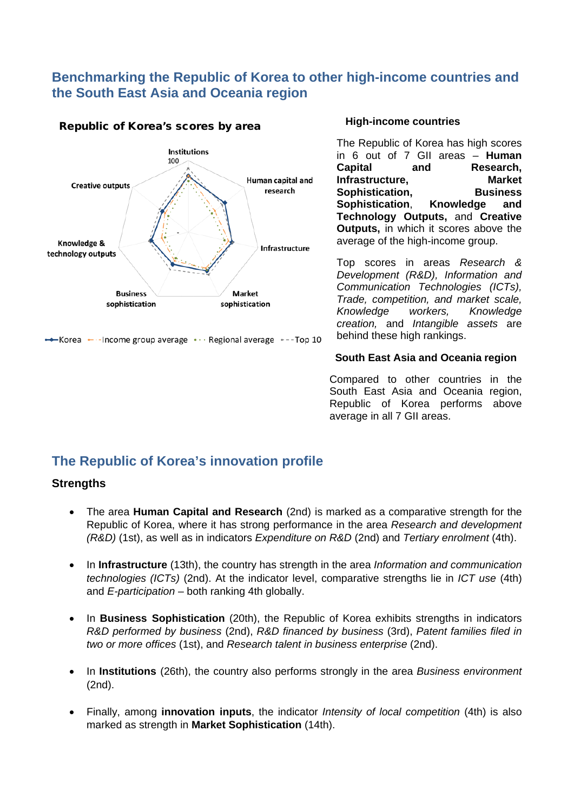### **Benchmarking the Republic of Korea to other high-income countries and the South East Asia and Oceania region**



#### Republic of Korea's scores by area

#### **High-income countries**

The Republic of Korea has high scores in 6 out of 7 GII areas – **Human Capital and Research,**   $Infrastructure$ , **Sophistication, Business Sophistication**, **Knowledge and Technology Outputs,** and **Creative Outputs,** in which it scores above the average of the high-income group.

Top scores in areas *Research & Development (R&D), Information and Communication Technologies (ICTs), Trade, competition, and market scale, Knowledge creation,* and *Intangible assets* are behind these high rankings.

#### **South East Asia and Oceania region**

Compared to other countries in the South East Asia and Oceania region. Republic of Korea performs above average in all 7 GII areas.

# **The Republic of Korea's innovation profile**

#### **Strengths**

- The area **Human Capital and Research** (2nd) is marked as a comparative strength for the Republic of Korea, where it has strong performance in the area *Research and development (R&D)* (1st), as well as in indicators *Expenditure on R&D* (2nd) and *Tertiary enrolment* (4th).
- In **Infrastructure** (13th), the country has strength in the area *Information and communication technologies (ICTs)* (2nd). At the indicator level, comparative strengths lie in *ICT use* (4th) and *E-participation* – both ranking 4th globally.
- In **Business Sophistication** (20th), the Republic of Korea exhibits strengths in indicators *R&D performed by business* (2nd), *R&D financed by business* (3rd), *Patent families filed in two or more offices* (1st), and *Research talent in business enterprise* (2nd).
- In **Institutions** (26th), the country also performs strongly in the area *Business environment* (2nd).
- Finally, among **innovation inputs**, the indicator *Intensity of local competition* (4th) is also marked as strength in **Market Sophistication** (14th).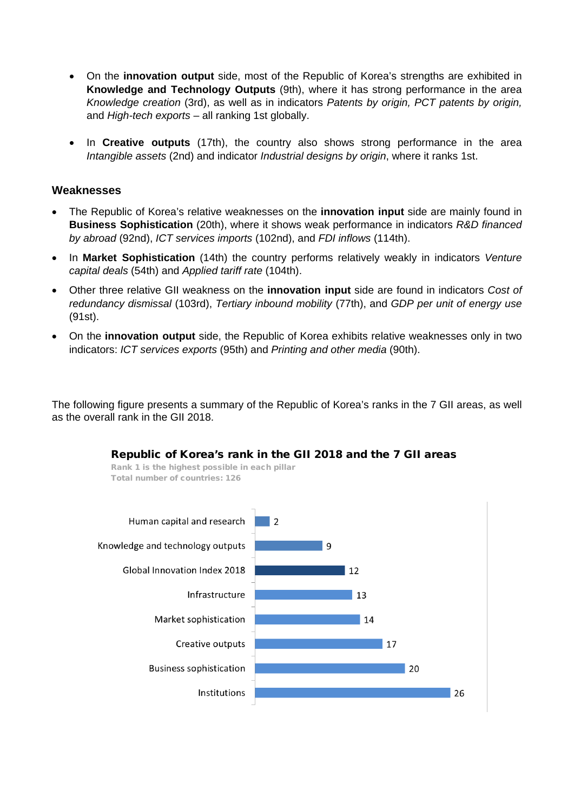- On the **innovation output** side, most of the Republic of Korea's strengths are exhibited in **Knowledge and Technology Outputs** (9th), where it has strong performance in the area *Knowledge creation* (3rd), as well as in indicators *Patents by origin, PCT patents by origin,*  and *High-tech exports* – all ranking 1st globally.
- In **Creative outputs** (17th), the country also shows strong performance in the area *Intangible assets* (2nd) and indicator *Industrial designs by origin*, where it ranks 1st.

#### **Weaknesses**

- The Republic of Korea's relative weaknesses on the **innovation input** side are mainly found in **Business Sophistication** (20th), where it shows weak performance in indicators *R&D financed by abroad* (92nd), *ICT services imports* (102nd), and *FDI inflows* (114th).
- In **Market Sophistication** (14th) the country performs relatively weakly in indicators *Venture capital deals* (54th) and *Applied tariff rate* (104th).
- Other three relative GII weakness on the **innovation input** side are found in indicators *Cost of redundancy dismissal* (103rd), *Tertiary inbound mobility* (77th), and *GDP per unit of energy use* (91st).
- On the **innovation output** side, the Republic of Korea exhibits relative weaknesses only in two indicators: *ICT services exports* (95th) and *Printing and other media* (90th).

The following figure presents a summary of the Republic of Korea's ranks in the 7 GII areas, as well as the overall rank in the GII 2018.

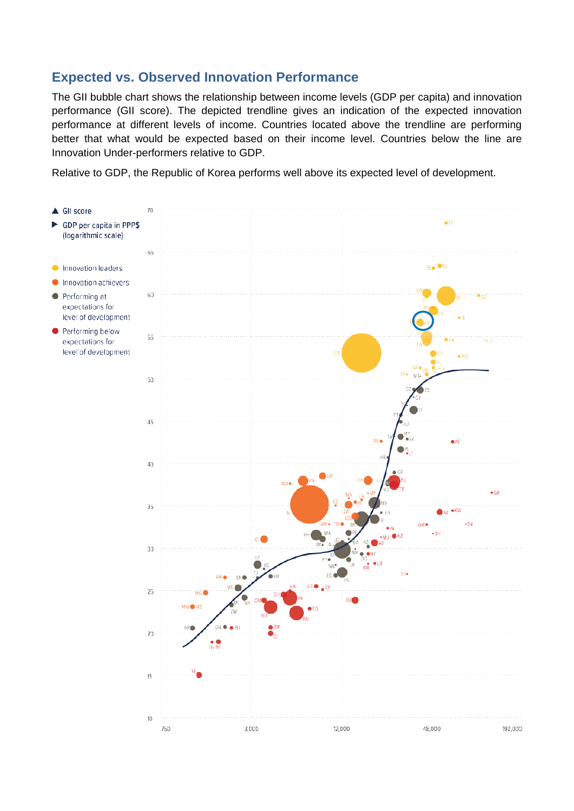## **Expected vs. Observed Innovation Performance**

The GII bubble chart shows the relationship between income levels (GDP per capita) and innovation performance (GII score). The depicted trendline gives an indication of the expected innovation performance at different levels of income. Countries located above the trendline are performing better that what would be expected based on their income level. Countries below the line are Innovation Under-performers relative to GDP.

Relative to GDP, the Republic of Korea performs well above its expected level of development.

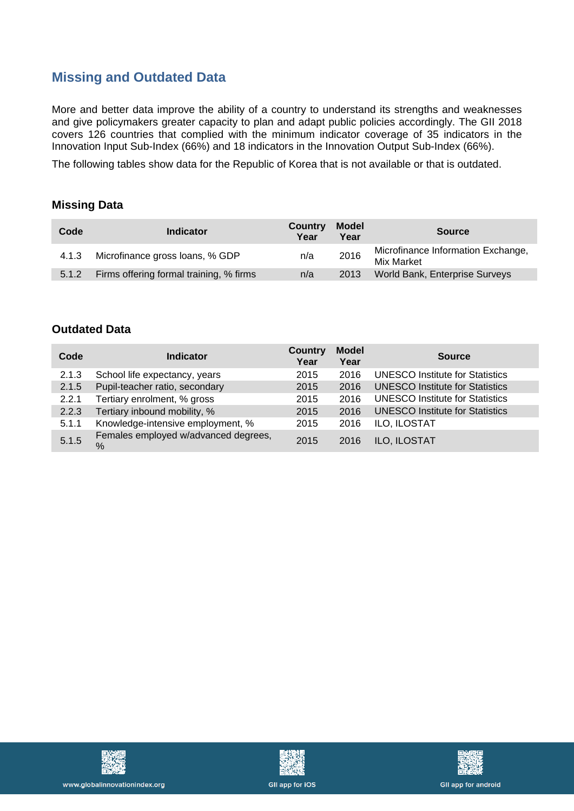# **Missing and Outdated Data**

More and better data improve the ability of a country to understand its strengths and weaknesses and give policymakers greater capacity to plan and adapt public policies accordingly. The GII 2018 covers 126 countries that complied with the minimum indicator coverage of 35 indicators in the Innovation Input Sub-Index (66%) and 18 indicators in the Innovation Output Sub-Index (66%).

The following tables show data for the Republic of Korea that is not available or that is outdated.

#### **Missing Data**

| Code  | <b>Indicator</b>                        | <b>Country</b><br>Year | <b>Model</b><br>Year | <b>Source</b>                                    |
|-------|-----------------------------------------|------------------------|----------------------|--------------------------------------------------|
| 4.1.3 | Microfinance gross loans, % GDP         | n/a                    | 2016                 | Microfinance Information Exchange,<br>Mix Market |
| 5.1.2 | Firms offering formal training, % firms | n/a                    | 2013                 | World Bank, Enterprise Surveys                   |

#### **Outdated Data**

| Code  | <b>Indicator</b>                             | <b>Country</b><br>Year | <b>Model</b><br>Year | <b>Source</b>                          |
|-------|----------------------------------------------|------------------------|----------------------|----------------------------------------|
| 2.1.3 | School life expectancy, years                | 2015                   | 2016                 | <b>UNESCO Institute for Statistics</b> |
| 2.1.5 | Pupil-teacher ratio, secondary               | 2015                   | 2016                 | <b>UNESCO Institute for Statistics</b> |
| 2.2.1 | Tertiary enrolment, % gross                  | 2015                   | 2016                 | <b>UNESCO Institute for Statistics</b> |
| 2.2.3 | Tertiary inbound mobility, %                 | 2015                   | 2016                 | <b>UNESCO Institute for Statistics</b> |
| 5.1.1 | Knowledge-intensive employment, %            | 2015                   | 2016                 | ILO, ILOSTAT                           |
| 5.1.5 | Females employed w/advanced degrees,<br>$\%$ | 2015                   | 2016                 | <b>ILO. ILOSTAT</b>                    |